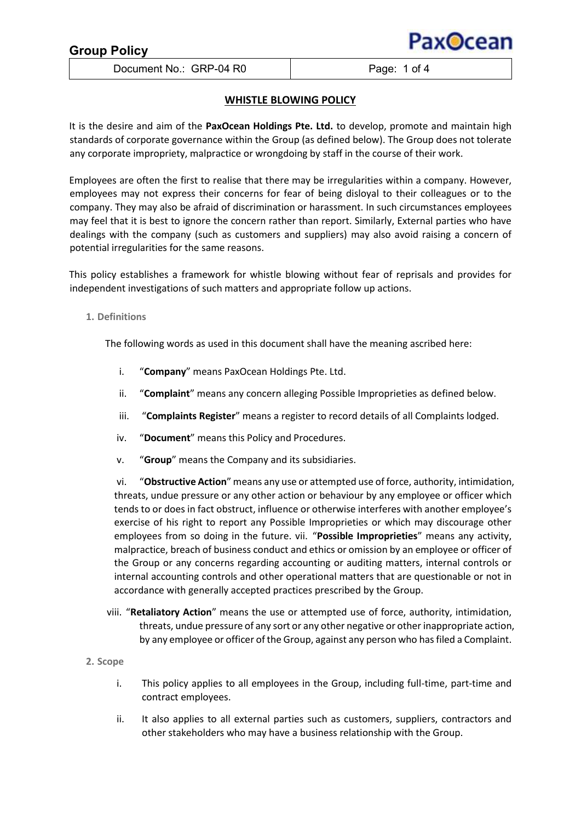# **Group Policy**

Document No.: GRP-04 R0 Page: 1 of 4

Pax**O**cear

# **WHISTLE BLOWING POLICY**

It is the desire and aim of the **PaxOcean Holdings Pte. Ltd.** to develop, promote and maintain high standards of corporate governance within the Group (as defined below). The Group does not tolerate any corporate impropriety, malpractice or wrongdoing by staff in the course of their work.

Employees are often the first to realise that there may be irregularities within a company. However, employees may not express their concerns for fear of being disloyal to their colleagues or to the company. They may also be afraid of discrimination or harassment. In such circumstances employees may feel that it is best to ignore the concern rather than report. Similarly, External parties who have dealings with the company (such as customers and suppliers) may also avoid raising a concern of potential irregularities for the same reasons.

This policy establishes a framework for whistle blowing without fear of reprisals and provides for independent investigations of such matters and appropriate follow up actions.

# **1. Definitions**

The following words as used in this document shall have the meaning ascribed here:

- i. "**Company**" means PaxOcean Holdings Pte. Ltd.
- ii. "**Complaint**" means any concern alleging Possible Improprieties as defined below.
- iii. "**Complaints Register**" means a register to record details of all Complaints lodged.
- iv. "**Document**" means this Policy and Procedures.
- v. "**Group**" means the Company and its subsidiaries.

vi. "**Obstructive Action**" means any use or attempted use of force, authority, intimidation, threats, undue pressure or any other action or behaviour by any employee or officer which tends to or does in fact obstruct, influence or otherwise interferes with another employee's exercise of his right to report any Possible Improprieties or which may discourage other employees from so doing in the future. vii. "**Possible Improprieties**" means any activity, malpractice, breach of business conduct and ethics or omission by an employee or officer of the Group or any concerns regarding accounting or auditing matters, internal controls or internal accounting controls and other operational matters that are questionable or not in accordance with generally accepted practices prescribed by the Group.

- viii. "**Retaliatory Action**" means the use or attempted use of force, authority, intimidation, threats, undue pressure of any sort or any other negative or other inappropriate action, by any employee or officer of the Group, against any person who has filed a Complaint.
- **2. Scope** 
	- i. This policy applies to all employees in the Group, including full-time, part-time and contract employees.
	- ii. It also applies to all external parties such as customers, suppliers, contractors and other stakeholders who may have a business relationship with the Group.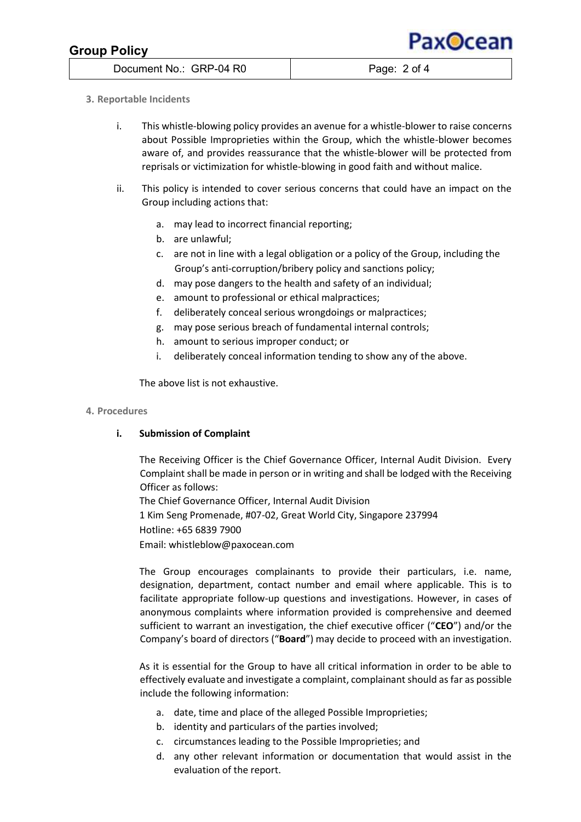# **Group Policy**

Pax**O**cean

Document No.: GRP-04 R0 Page: 2 of 4

# **3. Reportable Incidents**

- i. This whistle-blowing policy provides an avenue for a whistle-blower to raise concerns about Possible Improprieties within the Group, which the whistle-blower becomes aware of, and provides reassurance that the whistle-blower will be protected from reprisals or victimization for whistle-blowing in good faith and without malice.
- ii. This policy is intended to cover serious concerns that could have an impact on the Group including actions that:
	- a. may lead to incorrect financial reporting;
	- b. are unlawful;
	- c. are not in line with a legal obligation or a policy of the Group, including the Group's anti-corruption/bribery policy and sanctions policy;
	- d. may pose dangers to the health and safety of an individual;
	- e. amount to professional or ethical malpractices;
	- f. deliberately conceal serious wrongdoings or malpractices;
	- g. may pose serious breach of fundamental internal controls;
	- h. amount to serious improper conduct; or
	- i. deliberately conceal information tending to show any of the above.

The above list is not exhaustive.

#### **4. Procedures**

## **i. Submission of Complaint**

The Receiving Officer is the Chief Governance Officer, Internal Audit Division. Every Complaint shall be made in person or in writing and shall be lodged with the Receiving Officer as follows:

The Chief Governance Officer, Internal Audit Division 1 Kim Seng Promenade, #07-02, Great World City, Singapore 237994 Hotline: +65 6839 7900 Email: whistleblow@paxocean.com

The Group encourages complainants to provide their particulars, i.e. name, designation, department, contact number and email where applicable. This is to facilitate appropriate follow-up questions and investigations. However, in cases of anonymous complaints where information provided is comprehensive and deemed sufficient to warrant an investigation, the chief executive officer ("**CEO**") and/or the Company's board of directors ("**Board**") may decide to proceed with an investigation.

As it is essential for the Group to have all critical information in order to be able to effectively evaluate and investigate a complaint, complainant should as far as possible include the following information:

- a. date, time and place of the alleged Possible Improprieties;
- b. identity and particulars of the parties involved;
- c. circumstances leading to the Possible Improprieties; and
- d. any other relevant information or documentation that would assist in the evaluation of the report.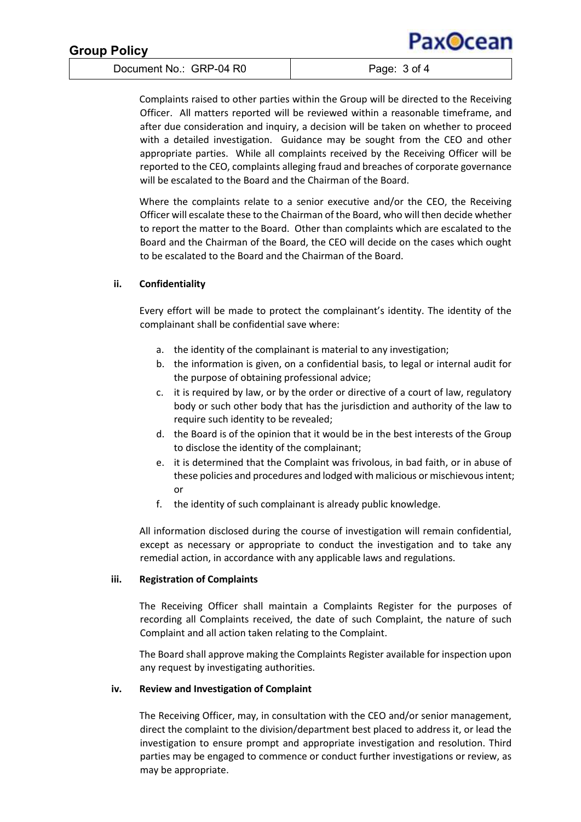| <b>Group Policy</b>     | PaxOcean     |
|-------------------------|--------------|
| Document No.: GRP-04 R0 | Page: 3 of 4 |

Complaints raised to other parties within the Group will be directed to the Receiving Officer. All matters reported will be reviewed within a reasonable timeframe, and after due consideration and inquiry, a decision will be taken on whether to proceed with a detailed investigation. Guidance may be sought from the CEO and other appropriate parties. While all complaints received by the Receiving Officer will be reported to the CEO, complaints alleging fraud and breaches of corporate governance will be escalated to the Board and the Chairman of the Board.

Where the complaints relate to a senior executive and/or the CEO, the Receiving Officer will escalate these to the Chairman of the Board, who will then decide whether to report the matter to the Board. Other than complaints which are escalated to the Board and the Chairman of the Board, the CEO will decide on the cases which ought to be escalated to the Board and the Chairman of the Board.

## **ii. Confidentiality**

Every effort will be made to protect the complainant's identity. The identity of the complainant shall be confidential save where:

- a. the identity of the complainant is material to any investigation;
- b. the information is given, on a confidential basis, to legal or internal audit for the purpose of obtaining professional advice;
- c. it is required by law, or by the order or directive of a court of law, regulatory body or such other body that has the jurisdiction and authority of the law to require such identity to be revealed;
- d. the Board is of the opinion that it would be in the best interests of the Group to disclose the identity of the complainant;
- e. it is determined that the Complaint was frivolous, in bad faith, or in abuse of these policies and procedures and lodged with malicious or mischievous intent; or
- f. the identity of such complainant is already public knowledge.

All information disclosed during the course of investigation will remain confidential, except as necessary or appropriate to conduct the investigation and to take any remedial action, in accordance with any applicable laws and regulations.

#### **iii. Registration of Complaints**

The Receiving Officer shall maintain a Complaints Register for the purposes of recording all Complaints received, the date of such Complaint, the nature of such Complaint and all action taken relating to the Complaint.

The Board shall approve making the Complaints Register available for inspection upon any request by investigating authorities.

#### **iv. Review and Investigation of Complaint**

The Receiving Officer, may, in consultation with the CEO and/or senior management, direct the complaint to the division/department best placed to address it, or lead the investigation to ensure prompt and appropriate investigation and resolution. Third parties may be engaged to commence or conduct further investigations or review, as may be appropriate.